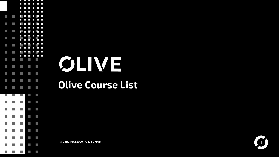

# **OLIVE**

### **Olive Course List**

 $©$  Copyright 2020 - Olive Group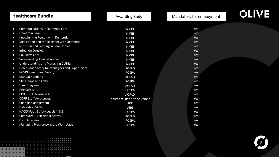|           | <b>Healthcare Bundle</b>                       | Awarding Body                  | Mandatory for employment | <b>OLIVE</b> |
|-----------|------------------------------------------------|--------------------------------|--------------------------|--------------|
|           |                                                |                                |                          |              |
| $\bullet$ | Communications in Dementia Care                | <b>NMBI</b>                    | Yes                      |              |
| $\bullet$ | Dementia Care                                  | <b>NMBI</b>                    | <b>Yes</b>               |              |
| $\bullet$ | Knowing the Person with Dementia               | <b>NMBI</b>                    | Yes                      |              |
| $\bullet$ | Medication and the Resident with Dementia      | <b>NMBI</b>                    | <b>Yes</b>               |              |
| $\bullet$ | Nutrition and Feeding in Care Homes            | <b>NMBI</b>                    | <b>Yes</b>               |              |
| $\bullet$ | <b>Infection Control</b>                       | <b>NMBI</b>                    | <b>Yes</b>               |              |
| $\bullet$ | Palliative Care                                | <b>NMBI</b>                    | Yes                      |              |
| $\bullet$ | Safeguarding Against Abuse                     | <b>NMBI</b>                    | Yes                      |              |
| $\bullet$ | Understanding and Managing Delirium            | <b>NMBI</b>                    | Yes                      |              |
| $\bullet$ | Health and Safety for Managers and Supervisors | <b>AOFAQ</b>                   | Yes                      |              |
| $\bullet$ | ROSPA Health and Safety                        | <b>ROSPA</b>                   | Yes                      |              |
| $\bullet$ | <b>Manual Handling</b>                         | AOFAO                          | Yes                      |              |
| $\bullet$ | Slips, Trips and Falls                         | <b>ROSPA</b>                   | Yes                      |              |
| $\bullet$ | Hand Hygiene                                   | AOFAO                          | Yes                      |              |
| $\bullet$ | <b>Fire Safety</b>                             | <b>ROSPA</b>                   | Yes                      |              |
| $\bullet$ | <b>CPR &amp; AED Awareness</b>                 | <b>AOFAQ</b>                   | Yes                      |              |
| $\bullet$ | <b>GDPR Staff Awareness</b>                    | Insurance Institute of Ireland | Yes                      |              |
| $\bullet$ | <b>Change Management</b>                       | ABE                            | Yes                      |              |
| $\bullet$ | <b>Delegation Skills</b>                       | ABE                            | Yes                      |              |
| $\bullet$ | HACCP Food Safety Levels 1 & 2                 | <b>ROSPA</b>                   | Yes                      |              |
| $\bullet$ | Computer ICT Health & Safety                   | AOFAO                          | Yes                      |              |
| $\bullet$ | <b>Food Allergies</b>                          | <b>ROSPA</b>                   | Yes                      |              |
| $\bullet$ | Managing Pregnancy in the Workplace            | <b>ROSPA</b>                   | Yes                      |              |

 $\begin{minipage}{.4\linewidth} \begin{tabular}{l} \hline $\mathbf{a} \times \mathbf{a} \times \mathbf{a} \times \mathbf{a} \times \mathbf{a} \times \mathbf{a} \times \mathbf{a} \times \mathbf{a} \times \mathbf{a} \times \mathbf{a} \times \mathbf{a} \times \mathbf{a} \times \mathbf{a} \times \mathbf{a} \times \mathbf{a} \times \mathbf{a} \times \mathbf{a} \times \mathbf{a} \times \mathbf{a} \times \mathbf{a} \times \mathbf{a} \times \mathbf{a} \times \mathbf{a} \times \mathbf{a} \times \mathbf{a$ **TELEVISION CONSUMING** 

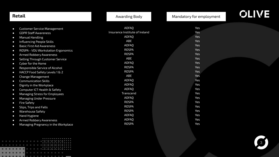| Retail                                                                                                                                                                                                                                                                                                                                                                                                                                                                                                                                                                                                                                                                                                                                                                                                                                                                                        | Awarding Body                                                                                                                                                                                                                                            | Mandatory for employment                                                                                                                                                                         | <b>OLIVE</b> |
|-----------------------------------------------------------------------------------------------------------------------------------------------------------------------------------------------------------------------------------------------------------------------------------------------------------------------------------------------------------------------------------------------------------------------------------------------------------------------------------------------------------------------------------------------------------------------------------------------------------------------------------------------------------------------------------------------------------------------------------------------------------------------------------------------------------------------------------------------------------------------------------------------|----------------------------------------------------------------------------------------------------------------------------------------------------------------------------------------------------------------------------------------------------------|--------------------------------------------------------------------------------------------------------------------------------------------------------------------------------------------------|--------------|
| <b>Customer Service Management</b><br>$\bullet$<br><b>GDPR Staff Awareness</b><br>$\bullet$<br>Manual Handling<br>$\bullet$<br>Influencing People Skills<br>$\bullet$<br><b>Basic First Aid Awareness</b><br>$\bullet$<br>ROSPA - VDU Workstation Ergonomics<br>$\bullet$<br>Armed Robbery Awareness<br>$\bullet$<br>Selling Through Customer Service<br>$\bullet$<br>Cyber for the Home<br>$\bullet$<br>Responsible Service of Alcohol<br>$\bullet$<br>HACCP Food Safety Levels 1 & 2<br>$\bullet$<br><b>Change Management</b><br>$\bullet$<br><b>Communication Skills</b><br>$\bullet$<br>Dignity in the Workplace<br>$\bullet$<br>Computer ICT Health & Safety<br>$\bullet$<br>Managing Stress for Employees<br>$\bullet$<br><b>Managing Under Pressure</b><br>$\bullet$<br><b>Fire Safety</b><br>$\bullet$<br>Slips, Trips and Falls<br>$\bullet$<br><b>Warehouse Safety</b><br>$\bullet$ | AOFAQ<br>Insurance Institute of Ireland<br>AOFAQ<br>ABE<br>AOFAQ<br><b>ROSPA</b><br><b>ROSPA</b><br>ABE<br>AOFAQ<br><b>ROSPA</b><br><b>ROSPA</b><br>ABE<br>AOFAQ<br>AOFAO<br><b>AOFAQ</b><br>Transcend<br><b>AOFAQ</b><br>ROSPA<br>ROSPA<br><b>ROSPA</b> | Yes<br>Yes<br><b>Yes</b><br><b>Yes</b><br>Yes<br><b>Yes</b><br><b>Yes</b><br><b>Yes</b><br><b>Yes</b><br><b>Yes</b><br><b>Yes</b><br>Yes<br>Yes<br>Yes<br>Yes<br>Yes<br>Yes<br>Yes<br>Yes<br>Yes |              |
| Hand Hygiene<br>$\bullet$<br>Armed Robbery Awareness<br>$\bullet$<br>Managing Pregnancy in the Workplace<br>$\bullet$                                                                                                                                                                                                                                                                                                                                                                                                                                                                                                                                                                                                                                                                                                                                                                         | <b>AOFAQ</b><br><b>AOFAQ</b><br><b>ROSPA</b>                                                                                                                                                                                                             | Yes<br>Yes<br>Yes                                                                                                                                                                                |              |

|  |  |  |  |  |   |  | . |  |  |  |  |
|--|--|--|--|--|---|--|---|--|--|--|--|
|  |  |  |  |  |   |  |   |  |  |  |  |
|  |  |  |  |  |   |  | . |  |  |  |  |
|  |  |  |  |  |   |  |   |  |  |  |  |
|  |  |  |  |  |   |  | . |  |  |  |  |
|  |  |  |  |  |   |  |   |  |  |  |  |
|  |  |  |  |  |   |  |   |  |  |  |  |
|  |  |  |  |  |   |  |   |  |  |  |  |
|  |  |  |  |  | . |  |   |  |  |  |  |
|  |  |  |  |  |   |  |   |  |  |  |  |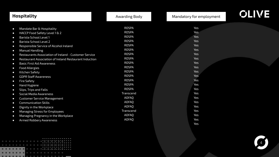| <b>Hospitality</b>                                                                                                                                                                                                                                                                                                                                                                                                                                                                                                                                                                                                                                                                                                                                                                                                                                                                                                                                                      | <b>Awarding Body</b>                                                                                                                                                                                                                                                                                                     | Mandatory for employment                                                                                                                                                                                                     | <b>OLIVE</b> |
|-------------------------------------------------------------------------------------------------------------------------------------------------------------------------------------------------------------------------------------------------------------------------------------------------------------------------------------------------------------------------------------------------------------------------------------------------------------------------------------------------------------------------------------------------------------------------------------------------------------------------------------------------------------------------------------------------------------------------------------------------------------------------------------------------------------------------------------------------------------------------------------------------------------------------------------------------------------------------|--------------------------------------------------------------------------------------------------------------------------------------------------------------------------------------------------------------------------------------------------------------------------------------------------------------------------|------------------------------------------------------------------------------------------------------------------------------------------------------------------------------------------------------------------------------|--------------|
| Mandate Bar & Hospitality<br>$\bullet$<br>HACCP Food Safety Level 1 & 2<br>$\bullet$<br>Barista School Level 1<br>$\bullet$<br>Barista School Level 2<br>$\bullet$<br>Responsible Service of Alcohol Ireland<br>$\bullet$<br><b>Manual Handling</b><br>$\bullet$<br>Restaurants Association of Ireland - Customer Service<br>$\bullet$<br>Restaurant Association of Ireland Restaurant Induction<br>$\bullet$<br><b>Basic First Aid Awareness</b><br>$\bullet$<br><b>Food Allergies</b><br>$\bullet$<br>Kitchen Safety<br>$\bullet$<br><b>GDPR Staff Awareness</b><br>$\bullet$<br><b>Fire Safety</b><br>$\bullet$<br>Hand Hygiene<br>$\bullet$<br>Slips, Trips and Falls<br>$\bullet$<br>Social Media Awareness<br>$\bullet$<br><b>Customer Service Management</b><br>$\bullet$<br><b>Communication Skills</b><br>$\bullet$<br>Dignity in the Workplace<br>$\bullet$<br>Managing Stress for Employees<br>$\bullet$<br>Managing Pregnancy in the Workplace<br>$\bullet$ | <b>ROSPA</b><br><b>ROSPA</b><br><b>ROSPA</b><br><b>ROSPA</b><br><b>ROSPA</b><br><b>ROSPA</b><br><b>ROSPA</b><br><b>ROSPA</b><br><b>ROSPA</b><br><b>ROSPA</b><br><b>ROSPA</b><br><b>ROSPA</b><br><b>ROSPA</b><br><b>ROSPA</b><br><b>ROSPA</b><br>Transcend<br>AOFAO<br>AOFAO<br><b>AOFAQ</b><br>Transcend<br><b>AOFAQ</b> | Yes<br><b>Yes</b><br><b>Yes</b><br><b>Yes</b><br><b>Yes</b><br><b>Yes</b><br><b>Yes</b><br><b>Yes</b><br><b>Yes</b><br><b>Yes</b><br><b>Yes</b><br><b>Yes</b><br>Yes<br>Yes<br>Yes<br>Yes<br>Yes<br>Yes<br>Yes<br>Yes<br>Yes |              |
| Armed Robbery Awareness<br>$\bullet$                                                                                                                                                                                                                                                                                                                                                                                                                                                                                                                                                                                                                                                                                                                                                                                                                                                                                                                                    | <b>AOFAQ</b>                                                                                                                                                                                                                                                                                                             | Yes<br>Yes                                                                                                                                                                                                                   |              |

|  |  |  |  |  |   |  | . |  |  |  |  |
|--|--|--|--|--|---|--|---|--|--|--|--|
|  |  |  |  |  |   |  |   |  |  |  |  |
|  |  |  |  |  |   |  | . |  |  |  |  |
|  |  |  |  |  |   |  |   |  |  |  |  |
|  |  |  |  |  |   |  | . |  |  |  |  |
|  |  |  |  |  |   |  |   |  |  |  |  |
|  |  |  |  |  |   |  |   |  |  |  |  |
|  |  |  |  |  |   |  |   |  |  |  |  |
|  |  |  |  |  | . |  |   |  |  |  |  |
|  |  |  |  |  |   |  |   |  |  |  |  |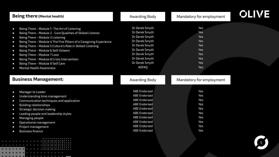| <b>Being there</b> (Mental health)                                              | <b>Awarding Body</b> | Mandatory for employment | <b>OLIVE</b> |
|---------------------------------------------------------------------------------|----------------------|--------------------------|--------------|
|                                                                                 | Dr Derek Smyth       | Yes                      |              |
| Being There - Module 1- The Art of Listening<br>$\bullet$                       | Dr Derek Smyth       | Yes                      |              |
| Being There - Module 2 - Core Qualities of Skilled Listener<br>$\bullet$        | Dr Derek Smyth       | Yes                      |              |
| Being There - Module 3 Listening<br>$\bullet$                                   |                      | <b>Yes</b>               |              |
| Being There - Module 4 The Five Pillars of a Caregiving Experience<br>$\bullet$ | Dr Derek Smyth       | Yes                      |              |
| Being There - Module 5 Culture's Role in Skilled Listening<br>$\bullet$         | Dr Derek Smyth       | Yes                      |              |
| Being There - Module 6 Self-Esteem<br>$\bullet$                                 | Dr Derek Smyth       | Yes                      |              |
| Being There - Module 7 Loss<br>$\bullet$                                        | Dr Derek Smyth       |                          |              |
| Being There - Module 8 Crisis Intervention<br>$\bullet$                         | Dr Derek Smyth       | <b>Yes</b>               |              |
| Being There - Module 9 Self Care<br>$\bullet$                                   | Dr Derek Smyth       | Yes                      |              |
| <b>Mental Health Awareness</b><br>$\bullet$                                     | <b>AOFAQ</b>         | Yes                      |              |
| <b>Business Management:</b>                                                     | Awarding Body        | Mandatory for employment |              |
| Manager to Leader<br>$\bullet$                                                  | <b>ABE Endorsed</b>  | Yes                      |              |
| Understanding time management<br>$\bullet$                                      | <b>ABE Endorsed</b>  | Yes                      |              |
| Communication techniques and application<br>$\bullet$                           | <b>ABE Endorsed</b>  | Yes                      |              |
| <b>Building relationships</b><br>$\bullet$                                      | <b>ABE Endorsed</b>  | Yes                      |              |
| Strategic decision making<br>$\bullet$                                          | <b>ABE Endorsed</b>  | Yes                      |              |
| Leading people and leadership styles<br>$\bullet$                               | <b>ABE Endorsed</b>  | Yes                      |              |
| Managing people<br>$\bullet$                                                    | <b>ABE Endorsed</b>  | Yes                      |              |
| Operational management<br>$\bullet$                                             | <b>ABE Endorsed</b>  | Yes                      |              |
| Project management<br>$\bullet$                                                 | <b>ABE Endorsed</b>  | Yes                      |              |
| <b>Business finance</b><br>$\bullet$                                            | <b>ABE Endorsed</b>  | Yes                      |              |
| .<br><b>The Committee Committee Committee Committee</b>                         |                      |                          |              |

. . . . . . . <u>. . . . . . . . . . . .</u> **. . . . . . . . . . . . . . . . . . .** .

−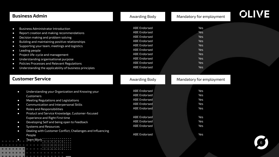| <b>Business Admin</b>                                                                                                                                                                                                                                                                                                                                                                                                                                                                                                                                                        | Awarding Body                                                                                                                                                                                                                      | Mandatory for employment                                                         | <b>OLIVE</b> |
|------------------------------------------------------------------------------------------------------------------------------------------------------------------------------------------------------------------------------------------------------------------------------------------------------------------------------------------------------------------------------------------------------------------------------------------------------------------------------------------------------------------------------------------------------------------------------|------------------------------------------------------------------------------------------------------------------------------------------------------------------------------------------------------------------------------------|----------------------------------------------------------------------------------|--------------|
| <b>Business Administrator Introduction</b><br>$\bullet$<br>Report creation and making recommendations<br>$\bullet$<br>Decision making and problem solving<br>$\bullet$<br>Building and maintaining positive relationships<br>$\bullet$<br>Supporting your team, meetings and logistics<br>$\bullet$<br>Leading people<br>$\bullet$<br>Project life-cycle and management<br>$\bullet$<br>Understanding organisational purpose<br>$\bullet$<br>Policies Processes and Relevant Regulations<br>$\bullet$<br>Understanding the applicability of business principles<br>$\bullet$ | <b>ABE Endorsed</b><br><b>ABE Endorsed</b><br><b>ABE Endorsed</b><br><b>ABE Endorsed</b><br><b>ABE Endorsed</b><br><b>ABE Endorsed</b><br><b>ABE Endorsed</b><br><b>ABE Endorsed</b><br><b>ABE Endorsed</b><br><b>ABE Endorsed</b> | Yes<br>Yes<br>Yes<br><b>Yes</b><br>Yes<br>Yes<br>Yes<br><b>Yes</b><br>Yes<br>Yes |              |
| <b>Customer Service</b>                                                                                                                                                                                                                                                                                                                                                                                                                                                                                                                                                      | Awarding Body                                                                                                                                                                                                                      | Mandatory for employment                                                         |              |
| Understanding your Organization and Knowing your<br>$\bullet$<br>Customers<br>Meeting Regulations and Legislations<br>$\bullet$<br>Communication and Interpersonal Skills<br>$\bullet$<br>Roles and Responsibilities<br>$\bullet$<br>Product and Service Knowledge, Customer-focused<br>$\bullet$<br>Experience and Right First time                                                                                                                                                                                                                                         | <b>ABE Endorsed</b><br><b>ABE Endorsed</b><br><b>ABE Endorsed</b><br><b>ABE Endorsed</b><br><b>ABE Endorsed</b><br><b>ABE Endorsed</b>                                                                                             | Yes<br>Yes<br>Yes<br>Yes<br>Yes<br>Yes                                           |              |
| Developing Self and being open to Feedback<br>$\bullet$<br><b>Systems and Resources</b><br>$\bullet$<br>Dealing with Customer Conflict, Challenges and Influencing<br>$\bullet$                                                                                                                                                                                                                                                                                                                                                                                              | <b>ABE Endorsed</b><br><b>ABE Endorsed</b><br><b>ABE Endorsed</b>                                                                                                                                                                  | Yes<br>Yes<br>Yes                                                                |              |
| People<br>.                                                                                                                                                                                                                                                                                                                                                                                                                                                                                                                                                                  |                                                                                                                                                                                                                                    |                                                                                  |              |

*Allena Alexandro*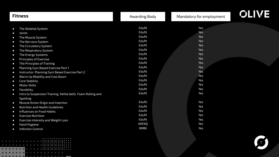| <b>Fitness</b>                                                                                                                                                                                                                                                                                                                                                                                                                                                                                                                                                                                                                                                                                                                                                                                                                                                                                                                                        | Awarding Body                                                                                                                                                                                                  | Mandatory for employment                                                                                                                                                                                | <b>OLIVE</b> |
|-------------------------------------------------------------------------------------------------------------------------------------------------------------------------------------------------------------------------------------------------------------------------------------------------------------------------------------------------------------------------------------------------------------------------------------------------------------------------------------------------------------------------------------------------------------------------------------------------------------------------------------------------------------------------------------------------------------------------------------------------------------------------------------------------------------------------------------------------------------------------------------------------------------------------------------------------------|----------------------------------------------------------------------------------------------------------------------------------------------------------------------------------------------------------------|---------------------------------------------------------------------------------------------------------------------------------------------------------------------------------------------------------|--------------|
| The Skeletal System<br>$\bullet$<br>Joints<br>$\bullet$<br>The Muscle System<br>$\bullet$<br>The Nervous System<br>$\bullet$<br>The Circulatory System<br>$\bullet$<br>The Respiratory System<br>$\bullet$<br>The Energy Systems<br>$\bullet$<br><b>Principles of Exercise</b><br>$\bullet$<br>The Principles of Training<br>$\bullet$<br>Planning Gym Based Exercise Part 1<br>$\bullet$<br>Instructor: Planning Gym Based Exercise Part 2<br>$\bullet$<br>Warm Up Mobility and Cool Down<br>$\bullet$<br>Core Stability<br>$\bullet$<br><b>Motor Skills</b><br>$\bullet$<br>Flexibility<br>$\bullet$<br>Intro to Suspension Training Kettle bells Foam Rolling and<br>$\bullet$<br><b>Spotting</b><br>Muscle Action Origin and Insertion<br>$\bullet$<br>Nutrition and Health Guidelines<br>$\bullet$<br>Influences on Food Habits<br>$\bullet$<br><b>Exercise Nutrition</b><br>$\bullet$<br><b>Exercise Intensity and Weight Loss</b><br>$\bullet$ | Edufit<br>Edufit<br>Edufit<br>Edufit<br>Edufit<br>Edufit<br>Edufit<br>Edufit<br>Edufit<br>Edufit<br>Edufit<br>Edufit<br>Edufit<br>Edufit<br>Edufit<br>Edufit<br>Edufit<br>Edufit<br>Edufit<br>Edufit<br>Edufit | Yes<br>Yes<br><b>Yes</b><br><b>Yes</b><br><b>Yes</b><br><b>Yes</b><br><b>Yes</b><br><b>Yes</b><br><b>Yes</b><br><b>Yes</b><br>Yes<br>Yes<br>Yes<br>Yes<br>Yes<br>Yes<br>Yes<br>Yes<br>Yes<br>Yes<br>Yes |              |
| Hand Hygiene<br>$\bullet$<br><b>Infection Control</b><br>$\bullet$                                                                                                                                                                                                                                                                                                                                                                                                                                                                                                                                                                                                                                                                                                                                                                                                                                                                                    | <b>AOFAQ</b><br><b>NMBI</b>                                                                                                                                                                                    | Yes<br>Yes                                                                                                                                                                                              |              |

 $\begin{minipage}{.4\linewidth} \begin{tabular}{l} \hline \multicolumn{3}{c}{\textbf{0.1}} \end{tabular} \end{minipage} \begin{minipage}{.4\linewidth} \begin{tabular}{l} \multicolumn{3}{c}{\textbf{0.1}} \end{tabular} \end{minipage} \begin{minipage}{.4\linewidth} \begin{tabular}{l} \multicolumn{3}{c}{\textbf{0.1}} \end{tabular} \end{minipage} \end{minipage} \begin{minipage}{.4\linewidth} \begin{tabular}{l} \multicolumn{3}{c}{\textbf{0.1}} \end{tabular} \end{minipage} \begin{minipage}{.4\$ **TELEVISION CONSUMING** . . . . . . . <u>. . . . . . . . . . . .</u> 

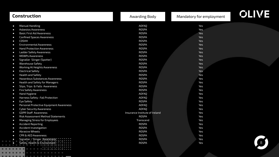| <b>Construction</b>                                   | <b>Awarding Body</b>           | Mandatory for employment | <b>OLIVE</b> |
|-------------------------------------------------------|--------------------------------|--------------------------|--------------|
| <b>Manual Handling</b><br>$\bullet$                   | <b>AOFAQ</b>                   | Yes                      |              |
| <b>Asbestos Awareness</b><br>$\bullet$                | ROSPA                          | <b>Yes</b>               |              |
| <b>Basic First Aid Awareness</b><br>$\bullet$         | <b>ROSPA</b>                   | Yes                      |              |
| <b>Confined Spaces Awareness</b><br>$\bullet$         | ROSPA                          | Yes                      |              |
| <b>COSHH</b><br>$\bullet$                             | ROSPA                          | Yes                      |              |
| <b>Environmental Awareness</b><br>$\bullet$           | <b>ROSPA</b>                   | Yes                      |              |
| <b>Hand Protection Awareness</b><br>$\bullet$         | <b>ROSPA</b>                   | Yes                      |              |
| <b>Ladder Safety Awareness</b><br>$\bullet$           | <b>ROSPA</b>                   | Yes                      |              |
| <b>MEWPs Awareness</b><br>$\bullet$                   | ROSPA                          | Yes                      |              |
| Signaller Slinger (Spotter)<br>$\bullet$              | <b>ROSPA</b>                   | Yes                      |              |
| <b>Warehouse Safety</b><br>$\bullet$                  | <b>ROSPA</b>                   | Yes                      |              |
| Working At Heights Awareness<br>$\bullet$             | <b>ROSPA</b>                   | Yes                      |              |
| <b>Electrical Safety</b><br>$\bullet$                 | <b>ROSPA</b>                   | Yes                      |              |
| <b>Health and Safety</b><br>$\bullet$                 | <b>ROSPA</b>                   | Yes                      |              |
| <b>Hazardous Substances Awareness</b><br>$\bullet$    | <b>ROSPA</b>                   | Yes                      |              |
| Health and Safety for Managers<br>$\bullet$           | <b>ROSPA</b>                   | Yes                      |              |
| Slips, Trips & Falls Awareness<br>$\bullet$           | <b>ROSPA</b>                   | Yes                      |              |
| <b>Fire Safety Awareness</b><br>$\bullet$             | <b>ROSPA</b>                   | Yes                      |              |
| Hand Hygiene<br>$\bullet$                             | <b>AOFAQ</b>                   | Yes                      |              |
| Harness Safety : Fall Protection<br>$\bullet$         | <b>AOFAQ</b>                   | Yes                      |              |
| Eye Safety<br>$\bullet$                               | <b>ROSPA</b>                   | Yes                      |              |
| Personal Protective Equipment Awareness<br>$\bullet$  | <b>AOFAO</b>                   | Yes                      |              |
| <b>Cyber Security Awareness</b><br>$\bullet$          | <b>AOFAQ</b>                   | Yes                      |              |
| <b>GDPR Staff Awareness</b><br>$\bullet$              | Insurance Institute of Ireland | Yes                      |              |
| <b>Risk Assessment Method Statements</b><br>$\bullet$ | <b>ROSPA</b>                   | Yes                      |              |
| Managing Stress for Employees<br>$\bullet$            | Transcend                      | Yes                      |              |
| <b>Accident Reporting</b><br>$\bullet$                | <b>ROSPA</b>                   | Yes                      |              |
| <b>Accident Investigation</b><br>$\bullet$            | <b>ROSPA</b>                   | Yes                      |              |
| <b>Abrasive Wheels</b><br>$\bullet$                   | <b>ROSPA</b>                   | Yes                      |              |
| <b>CPR &amp; AED Awareness</b><br>$\bullet$           | <b>ROSPA</b>                   | Yes                      |              |
| Signaller / Slinger Awareness<br>n                    | <b>ROSPA</b>                   | Yes                      |              |
| Safety, Health & Environment                          | <b>ROSPA</b>                   | Yes                      |              |
|                                                       |                                |                          |              |
|                                                       |                                |                          |              |
|                                                       |                                |                          |              |
|                                                       |                                |                          |              |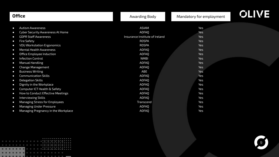| <b>Office</b>                                                                                                                                                                                                                                                                                                                                                                                                                                                                                                                                                                                                                                                                                                                                                   | Awarding Body                                                                                                                                                                                                                                            | Mandatory for employment                                                                                                          | <b>OLIVE</b> |
|-----------------------------------------------------------------------------------------------------------------------------------------------------------------------------------------------------------------------------------------------------------------------------------------------------------------------------------------------------------------------------------------------------------------------------------------------------------------------------------------------------------------------------------------------------------------------------------------------------------------------------------------------------------------------------------------------------------------------------------------------------------------|----------------------------------------------------------------------------------------------------------------------------------------------------------------------------------------------------------------------------------------------------------|-----------------------------------------------------------------------------------------------------------------------------------|--------------|
| <b>Autism Awareness</b><br>$\bullet$<br><b>Cyber Security Awareness At Home</b><br>$\bullet$<br><b>GDPR Staff Awareness</b><br>$\bullet$<br><b>Fire Safety</b><br>$\bullet$<br><b>VDU Workstation Ergonomics</b><br>$\bullet$<br><b>Mental Health Awareness</b><br>$\bullet$<br>Office Employee Induction<br>$\bullet$<br><b>Infection Control</b><br>$\bullet$<br><b>Manual Handling</b><br>$\bullet$<br>Change Management<br>$\bullet$<br><b>Business Writing</b><br>$\bullet$<br><b>Communication Skills</b><br>$\bullet$<br><b>Delegation Skills</b><br>$\bullet$<br>Dignity in the Workplace<br>$\bullet$<br>Computer ICT Health & Safety<br>$\bullet$<br><b>How to Conduct Effective Meetings</b><br>$\bullet$<br><b>Interviewing Skills</b><br>$\bullet$ | <b>ASIAM</b><br><b>AOFAQ</b><br>Insurance Institute of Ireland<br>ROSPA<br>ROSPA<br><b>AOFAQ</b><br><b>AOFAQ</b><br><b>NMBI</b><br><b>AOFAQ</b><br>AOFAQ<br>ABE<br><b>AOFAQ</b><br><b>AOFAQ</b><br><b>AOFAQ</b><br><b>AOFAO</b><br><b>AOFAO</b><br>AOFAO | Yes<br>Yes<br>Yes<br>Yes<br>Yes<br>Yes<br><b>Yes</b><br><b>Yes</b><br>Yes<br>Yes<br>Yes<br>Yes<br>Yes<br>Yes<br>Yes<br>Yes<br>Yes |              |
| Managing Stress for Employees<br>$\bullet$<br><b>Managing Under Pressure</b><br>$\bullet$<br>Managing Pregnancy in the Workplace<br>$\bullet$                                                                                                                                                                                                                                                                                                                                                                                                                                                                                                                                                                                                                   | Transcend<br><b>AOFAQ</b><br><b>AOFAQ</b>                                                                                                                                                                                                                | Yes<br>Yes<br>Yes                                                                                                                 |              |

|  |  |  |  |  |   |  |  | . |  |  |
|--|--|--|--|--|---|--|--|---|--|--|
|  |  |  |  |  |   |  |  |   |  |  |
|  |  |  |  |  |   |  |  | . |  |  |
|  |  |  |  |  |   |  |  |   |  |  |
|  |  |  |  |  |   |  |  | . |  |  |
|  |  |  |  |  |   |  |  |   |  |  |
|  |  |  |  |  |   |  |  |   |  |  |
|  |  |  |  |  | . |  |  |   |  |  |

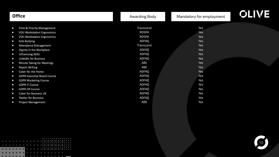| <b>Office</b>                                                                             | Awarding Body                | Mandatory for employment |  |
|-------------------------------------------------------------------------------------------|------------------------------|--------------------------|--|
| Time & Priority Management<br>$\bullet$<br><b>VDU Workstation Ergonomics</b><br>$\bullet$ | Transcend<br><b>ROSPA</b>    | Yes<br>Yes               |  |
| <b>VDU Workstation Ergonomics</b><br>$\bullet$<br>Anti-Bullying<br>$\bullet$              | <b>ROSPA</b><br><b>AOFAQ</b> | <b>Yes</b><br>Yes        |  |
| <b>Attendance Management</b><br>$\bullet$<br>Dignity in the Workplace<br>$\bullet$        | Transcend<br><b>AOFAQ</b>    | <b>Yes</b><br><b>Yes</b> |  |
| Influencing Skills<br>$\bullet$<br><b>LinkedIn for Business</b><br>$\bullet$              | <b>AOFAQ</b><br><b>AOFAQ</b> | <b>Yes</b><br><b>Yes</b> |  |
| Minute Taking for Meetings<br>$\bullet$<br><b>Report Writing</b><br>$\bullet$             | ABE<br>ABE                   | <b>Yes</b><br><b>Yes</b> |  |
| Cyber for the Home<br>$\bullet$<br><b>GDPR Executive Board Course</b><br>$\bullet$        | <b>AOFAQ</b><br><b>AOFAQ</b> | Yes<br>Yes               |  |
| <b>GDPR Marketing Course</b><br>$\bullet$<br><b>GDPR IT Course</b><br>$\bullet$           | <b>AOFAQ</b><br><b>AOFAQ</b> | Yes<br>Yes               |  |
| <b>GDPR HR Course</b><br>$\bullet$<br><b>Cyber for Business UK</b><br>$\bullet$           | AOFAQ<br><b>AOFAQ</b>        | Yes<br>Yes               |  |
| <b>Twitter for Business</b><br>$\bullet$<br><b>Project Management</b><br>$\bullet$        | AOFAQ<br>ABE                 | Yes<br>Yes               |  |

|  |  |  |  |  |   |  | . |  |  |  |  |
|--|--|--|--|--|---|--|---|--|--|--|--|
|  |  |  |  |  |   |  |   |  |  |  |  |
|  |  |  |  |  |   |  | . |  |  |  |  |
|  |  |  |  |  |   |  |   |  |  |  |  |
|  |  |  |  |  |   |  | . |  |  |  |  |
|  |  |  |  |  |   |  |   |  |  |  |  |
|  |  |  |  |  |   |  |   |  |  |  |  |
|  |  |  |  |  |   |  |   |  |  |  |  |
|  |  |  |  |  |   |  |   |  |  |  |  |
|  |  |  |  |  | . |  |   |  |  |  |  |

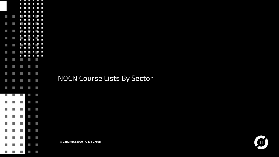

NOCN Course Lists By Sector

**© Copyright 2020 - Olive Group** 11

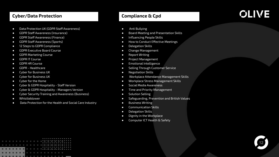### **Cyber/Data Protection**

- Data Protection UK (GDPR Staff Awareness)
- GDPR Staff Awareness (Insurance)
- GDPR Staff Awareness (Finance)
- GDPR Staff Awareness (Sports)
- 12 Steps to GDPR Compliance
- GDPR Executive Board Course
- GDPR Marketing Course
- GDPR IT Course
- GDPR HR Course
- GDPR Healthcare
- Cyber for Business UK
- Cyber for Business UK
- Cyber for the Home
- Cyber & GDPR Hospitality Staff Version
- Cyber & GDPR Hospitality Managers Version
- Cyber Security Training and Awareness (Business)
- Whistleblower
- Data Protection for the Health and Social Care Industry

### **Compliance & Cpd**

- Anti Bullying
- **Board Meeting and Presentation Skills**
- Influencing People Skills
- How to Conduct Effective Meetings
- Delegation Skills
- Change Management
- Report Writing
- Project Management
- Emotional Intelligence
- Selling Through Customer Service
- Negotiation Skills
- Workplace Attendance Management Skills
- Workplace Stress Management Skills
- Social Media Awareness
- Time and Priority Management
- Solution Selling
- Safeguarding, Prevention and British Values
- **Business Writing**
- Communication Skills
- Delegation Skills
- **Dignity in the Workplace**
- Computer ICT Health & Safety

|  |  |  |  |  |   | . |  |  |  |  |  |
|--|--|--|--|--|---|---|--|--|--|--|--|
|  |  |  |  |  |   |   |  |  |  |  |  |
|  |  |  |  |  |   | . |  |  |  |  |  |
|  |  |  |  |  |   |   |  |  |  |  |  |
|  |  |  |  |  |   | . |  |  |  |  |  |
|  |  |  |  |  |   |   |  |  |  |  |  |
|  |  |  |  |  |   |   |  |  |  |  |  |
|  |  |  |  |  | . |   |  |  |  |  |  |

### **OLIVE**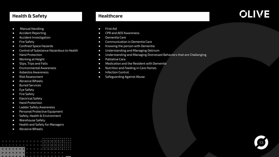#### **Health & Safety**

- Manual Handling
- Accident Reporting
- Accident Investigation
- Fire Safety
- Confined Space Hazards
- Control of Substance Hazardous to Health
- Hand Protection
- Working at Height
- Slips, Trips and Falls
- Environmental Awareness
- Asbestos Awareness
- Risk Assessment
- Abrasive Wheels
- Buried Services
- Eye Safety
- Fire Safety
- Electrical Safety
- Hand Protection
- Ladder Safety Awareness
- **•** Personal Protective Equipment
- Safety, Health & Environment
- Warehouse Safety
- Health and Safety for Managers
- Abrasive Wheels

|   |  |  |  |  |  | . |  |  |  |  |  |
|---|--|--|--|--|--|---|--|--|--|--|--|
|   |  |  |  |  |  |   |  |  |  |  |  |
|   |  |  |  |  |  | . |  |  |  |  |  |
|   |  |  |  |  |  |   |  |  |  |  |  |
|   |  |  |  |  |  | . |  |  |  |  |  |
|   |  |  |  |  |  |   |  |  |  |  |  |
|   |  |  |  |  |  |   |  |  |  |  |  |
|   |  |  |  |  |  |   |  |  |  |  |  |
| . |  |  |  |  |  |   |  |  |  |  |  |

### **Healthcare**

- First Aid
- CPR and AED Awareness
- Dementia Care
- Communication in Dementia Care
- Knowing the person with Dementia
- Understanding and Managing Delirium
- Understanding and Managing Distressed Behaviors that are Challenging
- Palliative Care
- Medication and the Resident with Dementia
- Nutrition and Feeding in Care Homes
- Infection Control
- Safeguarding Against Abuse

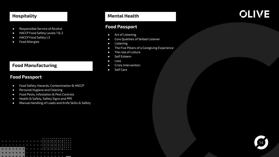### **Hospitality**

- Responsible Service of Alcohol
- HACCP Food Safety Levels 1 & 2
- HACCP Food Safety L3
- Food Allergies

### **Food Manufacturing**

### **Food Passport**

- Food Safety, Hazards, Contamination & HACCP
- Personal Hygiene and Cleaning
- Food Pests, Infestation & Pest Controls
- Health & Safety, Safety Signs and PPE
- Manual Handling of Loads and Knife Skills & Safety

### **Mental Health**

### **Food Passport**

- Art of Listening
- Core Qualities of Skilled Listener
- Listening
- The Five Pillars of a Caregiving Experience
- The role of culture
- Self Esteem
- Loss
- Crisis Intervention
- Self Care

### **OLIVE**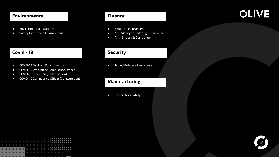#### **Environmental**

- Environmental Awareness
- Safety Health and Environment

### **Covid - 19**

- COVID-19 Back to Work Induction
- COVID-19 Workplace Compliance Officer
- COVID-19 Induction (Construction)
- COVID-19 Compliance Officer (Construction)

### **Finance**

- SM&CR Insurance)
- Anti Money Laundering Insurance
- Anti-Bribery & Corruption

### **Security**

● Armed Robbery Awareness

### **Manufacturing**

● Laboratory Safety

|  |  |  |  |  |  |  | . |  |  |  |  |  |
|--|--|--|--|--|--|--|---|--|--|--|--|--|
|  |  |  |  |  |  |  |   |  |  |  |  |  |
|  |  |  |  |  |  |  | . |  |  |  |  |  |
|  |  |  |  |  |  |  |   |  |  |  |  |  |
|  |  |  |  |  |  |  | . |  |  |  |  |  |
|  |  |  |  |  |  |  |   |  |  |  |  |  |
|  |  |  |  |  |  |  |   |  |  |  |  |  |
|  |  |  |  |  |  |  |   |  |  |  |  |  |
|  |  |  |  |  |  |  |   |  |  |  |  |  |

### **OLIVE**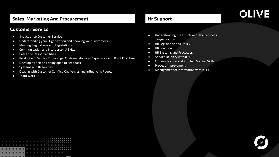### **Sales, Marketing And Procurement**

### **Customer Service**

- Induction to Customer Service
- Understanding your Organization and Knowing your Customers
- Meeting Regulations and Legislations
- Communication and Interpersonal Skills
- Roles and Responsibilities
- Product and Service Knowledge, Customer-focused Experience and Right First time
- Developing Self and being open to Feedback
- Systems and Resources
- Dealing with Customer Conflict, Challenges and Influencing People
- Team Work

### **Hr Support**

- Understanding the structure of the business / organisation
- HR Legislation and Policy
- HR Function
- HR Systems and Processes
- Service Delivery within HR
- Communication and Problem Solving Skills
- Process improvement
- Management of information within HR

|  |  |  |  |  |   | . |  |  |  |  |  |
|--|--|--|--|--|---|---|--|--|--|--|--|
|  |  |  |  |  |   | . |  |  |  |  |  |
|  |  |  |  |  |   | . |  |  |  |  |  |
|  |  |  |  |  | . |   |  |  |  |  |  |
|  |  |  |  |  |   |   |  |  |  |  |  |

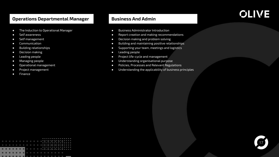### **Operations Departmental Manager**

- The Induction to Operational Manager
- Self awareness
- Self management
- Communication
- Building relationships
- Decision making
- Leading people
- Managing people
- Operational management
- Project management
- Finance

### **Business And Admin**

- Business Administrator Introduction
- Report creation and making recommendations
- Decision making and problem solving
- Building and maintaining positive relationships
- Supporting your team, meetings and logistics
- Leading people
- Project life-cycle and management
- Understanding organisational purpose
- Policies, Processes and Relevant Regulations
- Understanding the applicability of business principles

|   |  |  |  |  |  |  | . |  |  |  |  |
|---|--|--|--|--|--|--|---|--|--|--|--|
|   |  |  |  |  |  |  |   |  |  |  |  |
|   |  |  |  |  |  |  | . |  |  |  |  |
|   |  |  |  |  |  |  |   |  |  |  |  |
|   |  |  |  |  |  |  | . |  |  |  |  |
|   |  |  |  |  |  |  |   |  |  |  |  |
|   |  |  |  |  |  |  |   |  |  |  |  |
| . |  |  |  |  |  |  |   |  |  |  |  |
|   |  |  |  |  |  |  |   |  |  |  |  |

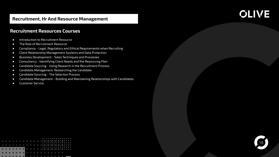### **Recruitment, Hr And Resource Management**

## **OLIVE**

### **Recruitment Resources Courses**

- Introduction to Recruitment Resource
- **B** The Role of Recruitment Resource
- Compliance Legal, Regulatory and Ethical Requirements when Recruiting
- Client Relationship Management Systems and Data Protection
- Business Development Sales Techniques and Processes
- Consultancy Identifying Client Needs and the Resourcing Plan
- Candidate Sourcing Using Research in the Recruitment Process
- Candidate Management: Researching the Candidate
- Candidate Sourcing The Selection Process
- Candidate Management Building and Maintaining Relationships with Candidates
- Customer Service

|  |  |  |   |  |  | . |  |  |  |  |  |
|--|--|--|---|--|--|---|--|--|--|--|--|
|  |  |  |   |  |  | . |  |  |  |  |  |
|  |  |  |   |  |  | . |  |  |  |  |  |
|  |  |  |   |  |  |   |  |  |  |  |  |
|  |  |  | . |  |  |   |  |  |  |  |  |
|  |  |  |   |  |  |   |  |  |  |  |  |

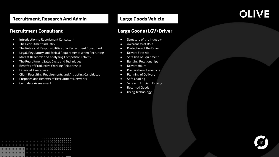### **Recruitment, Research And Admin**

### **Recruitment Consultant**

- Introduction to Recruitment Consultant
- The Recruitment Industry
- The Roles and Responsibilities of a Recruitment Consultant
- Legal, Regulatory and Ethical Requirements when Recruiting
- Market Research and Analysing Competitor Activity
- The Recruitment Sales Cycle and Techniques
- Benefits of Productive Working Relationship
- Financial Awareness
- Client Recruiting Requirements and Attracting Candidates
- Purposes and Benefits of Recruitment Networks
- Candidate Assessment

### **Large Goods Vehicle**

### **OLIVE**

### **Large Goods (LGV) Driver**

- Structure of the Industry
- Awareness of Role
- Protection of the Driver
- Drivers First Aid
- Safe Use of Equipment
- Building Relationships
- Drivers Hours
- Preparation of a vehicle
- Planning of Delivery
- Safe Loading
- Safe and Efficient Driving
- Returned Goods
- Using Technology

|  |  |  |   |  |  | . |  |  |  |  |  |
|--|--|--|---|--|--|---|--|--|--|--|--|
|  |  |  |   |  |  |   |  |  |  |  |  |
|  |  |  |   |  |  | . |  |  |  |  |  |
|  |  |  |   |  |  |   |  |  |  |  |  |
|  |  |  |   |  |  | . |  |  |  |  |  |
|  |  |  |   |  |  |   |  |  |  |  |  |
|  |  |  | . |  |  |   |  |  |  |  |  |
|  |  |  |   |  |  |   |  |  |  |  |  |

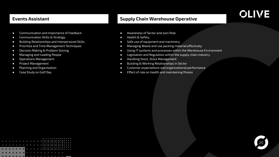### **Events Assistant**

### **Supply Chain Warehouse Operative**

- Communication and Importance of Feedback
- Communication Skills & Strategy
- Building Relationships and Interpersonal Skills
- Prioritise and Time Management Techniques
- Decision Making & Problem Solving
- Managing and Leading People
- Operations Management
- Project Management
- Planning and Organisation
- Case Study on Golf Day
- Awareness of Sector and own Role
- Health & Safety.
- Safe use of equipment and machinery
- Managing Waste and use packing material effectively
- Using IT systems and processes within the Warehouse Environment
- Legislation and Regulation within the supply chain industry
- Handling Stock, Stock Management
- Building & Working Relationships in Sector
- Customer expectations and organizational performance
- Effect of role on health and maintaining fitness

|  |  |  |  |  |  | . |  |  |  |  |  |
|--|--|--|--|--|--|---|--|--|--|--|--|
|  |  |  |  |  |  |   |  |  |  |  |  |
|  |  |  |  |  |  | . |  |  |  |  |  |
|  |  |  |  |  |  |   |  |  |  |  |  |
|  |  |  |  |  |  | . |  |  |  |  |  |
|  |  |  |  |  |  |   |  |  |  |  |  |
|  |  |  |  |  |  |   |  |  |  |  |  |
|  |  |  |  |  |  |   |  |  |  |  |  |
|  |  |  |  |  |  |   |  |  |  |  |  |

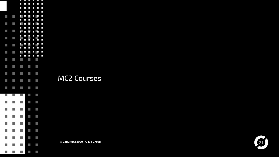

MC2 Courses

**© Copyright 2020 - Olive Group** 21

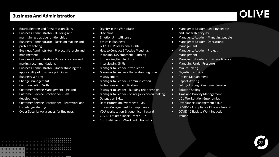### **Business And Administration**

- Board Meeting and Presentation Skills
- Business Administrator Building and maintaining positive relationships
- Business Administrator Decision making and
- problem solving
- Business Administrator Project life-cycle and
- management
- Business Administrator Report creation and making recommendations
- Business Administrator Understanding the applicability of business principles
- Business Writing
- Change Management
- Communication Skills
- Customer Service Management Ireland
- Customer Service Practitioner Self development
- **Customer Service Practitioner Teamwork and** knowledge sharing
- Cyber Security Awareness for Business
- Dignity in the Workplace
- Discipline
- Emotional Intelligence
- Ethics in Business
- GDPR HR Professionals UK
- How to Conduct Effective Meetings
- Individual Development Planning
- Influencing People Skills
- Interviewing Skills
- Manager to Leader Introduction
- Manager to Leader Understanding time management
- Manager to Leader Communication techniques and application
- Manager to Leader Building relationships
- Manager to Leader Strategic decision making
- Delegation Skills
- Data Protection Awareness UK
- Stress Management for Employees
- VDU Workstation Ergonomics Ireland
- COVID-19 Compliance Officer UK
- COVID-19 Back to Work Induction UK
- Manager to Leader Leading people and leadership styles
- Manager to Leader Managing people
- Manager to Leader Operational management
- Manager to Leader Project
	- management
- Manager to Leader Business finance
- Managing Under Pressure
- Minute Taking
- Negotiation Skills
- Project Management
- Report Writing
- Selling Through Customer Service
- Solution Selling
- **•** Time and Priority Management
- VDU Workstation Ergonomics
- Attendance Management Skills
- COVID-19 Compliance Officer Ireland
- COVID-19 Back to Work Induction Ireland



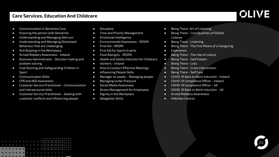### **Care Services, Education And Childcare**

- Communication in Dementia Care
- Knowing the person with Dementia
- Understanding and Managing Delirium
- Understanding and Managing Distressed Behaviour that are Challenging
- Anti Bullying in the Workplace
- Armed Robbery Awareness Ireland
- Business Administrator Decision making and problem solving
- Club Running and Safeguarding Children in Sport
- Communication Skills
- CPR and AED Awareness
- Customer Service Practitioner Communication and interpersonal skills
- Customer Service Practitioner Dealing with customer conflicts and influencing people
- Discipline
- Time and Priority Management
- Emotional Intelligence
- Environmental Awareness ROSPA
- First Aid ROSPA
- First Aid for Sports Events
- Food Allergies ROSPA
- Health and Safety Induction for Childcare
- workers Ireland
- How to Conduct Effective Meetings
- Influencing People Skills
- Manager to Leader Managing people
- Managing Under Pressure
- Social Media Awareness
- Stress Management for Employees
- Dignity in the Workplace
- Delegation Skills
- Being There- Art of Listening
- Being There Core Qualities of Skilled Listener
- Being There Listening
- Being There The Five Pillars of a Caregiving
- Experience
- Being There The role of culture
- Being There Self Esteem
- Being There Loss
- Being There Crisis Intervention
- Being There Self Care
- COVID-19 Back to Work Induction Ireland
- COVID-19 Compliance Officer Ireland
- COVID-19 Compliance Officer UK
- COVID-19 Back to Work Induction UK
- Armed Robbery Awareness
- Infection Control

|  |  |  |  |  |   | . |  |  |  |  |  |  |
|--|--|--|--|--|---|---|--|--|--|--|--|--|
|  |  |  |  |  |   |   |  |  |  |  |  |  |
|  |  |  |  |  |   | . |  |  |  |  |  |  |
|  |  |  |  |  |   |   |  |  |  |  |  |  |
|  |  |  |  |  |   |   |  |  |  |  |  |  |
|  |  |  |  |  |   | . |  |  |  |  |  |  |
|  |  |  |  |  |   |   |  |  |  |  |  |  |
|  |  |  |  |  | . |   |  |  |  |  |  |  |
|  |  |  |  |  |   |   |  |  |  |  |  |  |

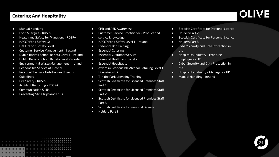### **Catering And Hospitality**

- Manual Handling
- Food Allergies ROSPA
- Health and Safety for Managers ROSPA
- HACCP Food Safety L2
- HACCP Food Safety Level 3
- Customer Service Management Ireland
- Dublin Barista School Barista Level 1 Ireland
- Dublin Barista School Barista Level 2 Ireland
- Environmental Waste Management Ireland
- Responsible Service of Alcohol
- Personal Trainer Nutrition and Health
- Guidelines
- Fire Safety ROSPA
- Accident Reporting ROSPA
- Communication Skills
- Preventing Slips Trips and Falls
- CPR and AED Awareness
- Customer Service Practitioner Product and
- service knowledge
- HACCP Food Safety Level 1 Ireland
- Essential Bar Training
- Essential Catering
- Essential Customer Service
- Essential Health and Safety
- Essential Hospitality
- Award in Responsible Alcohol Retailing Level 1 Licensing - UK
- T in the Park Licensing Training
- Scottish Certificate for Licensed Premises Staff Part 1
- Scottish Certificate for Licensed Premises Staff Part 2
- Scottish Certificate for Licensed Premises Staff Part 3
- **Scottish Certificate for Personal Licence**
- Holders Part 1
- Scottish Certificate for Personal Licence
- Holders Part 2
- Scottish Certificate for Personal Licence
- Holders Part 3
- Cyber Security and Data Protection in the
- Hospitality Industry Frontline Employees - UK
- Cyber Security and Data Protection in the
- Hospitality Industry Managers UK
- Manual Handling Ireland

|  |  |  |  |  |            | . |  |  |  |  |  |
|--|--|--|--|--|------------|---|--|--|--|--|--|
|  |  |  |  |  |            |   |  |  |  |  |  |
|  |  |  |  |  |            | . |  |  |  |  |  |
|  |  |  |  |  |            |   |  |  |  |  |  |
|  |  |  |  |  |            | . |  |  |  |  |  |
|  |  |  |  |  |            |   |  |  |  |  |  |
|  |  |  |  |  | . <b>.</b> |   |  |  |  |  |  |
|  |  |  |  |  |            |   |  |  |  |  |  |

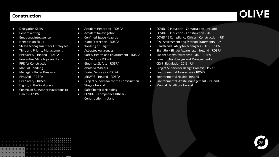#### **Construction**

- Delegation Skills
- Report Writing
- Emotional Intelligence
- Negotiation Skills
- Stress Management for Employees
- Time and Priority Management
- Fire Safety Ireland ROSPA
- Preventing Slips Trips and Falls
- PPE for Construction
- Manual Handling
- Managing Under Pressure
- First Aid ROSPA
- Fire Safety ROSPA
- Dignity in the Workplace
- Control of Substance Hazardous to Health ROSPA
- Accident Reporting ROSPA
- Accident Investigation
- Confined Space Hazards
- Hand Protection ROSPA
- Working at Height
- Asbestos Awareness
- Safety Health and Environment ROSPA
- Eye Safety ROSPA
- Electrical Safety ROSPA
- Abrasive Wheels
- Buried Services ROSPA
- MEWPS Ireland ROSPA
- Project Supervisor for the Construction Stage - Ireland
- Safe Chemical Handling
- COVID-19 Compliance Officer Construction- Ireland
- COVID-19 Induction Construction Ireland
- COVID-19 Induction Construction UK
- COVID-19 Compliance Officer Construction UK
- Risk Assessment and Method Statements UK
- Health and Safety for Managers UK ROSPA
- Signaller/Slinger Awareness Ireland ROSPA
- Ladder Safety Awareness UK ROSPA
- Construction Design and Management CDM -Regulation 2015 - UK
- Project Supervisor Design Process PSDP
- Environmental Awareness ROSPA
- Environmental Health- Ireland
- Environmental Waste Management Ireland
- Manual Handling Ireland

|  |  |  |  |  |   | . |  |  |  |  |  |  |
|--|--|--|--|--|---|---|--|--|--|--|--|--|
|  |  |  |  |  |   |   |  |  |  |  |  |  |
|  |  |  |  |  |   |   |  |  |  |  |  |  |
|  |  |  |  |  |   | . |  |  |  |  |  |  |
|  |  |  |  |  |   |   |  |  |  |  |  |  |
|  |  |  |  |  |   | . |  |  |  |  |  |  |
|  |  |  |  |  |   |   |  |  |  |  |  |  |
|  |  |  |  |  |   |   |  |  |  |  |  |  |
|  |  |  |  |  | . |   |  |  |  |  |  |  |
|  |  |  |  |  |   |   |  |  |  |  |  |  |
|  |  |  |  |  |   |   |  |  |  |  |  |  |

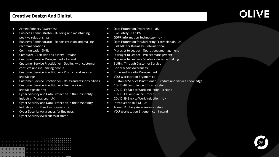### **Creative Design And Digital**

### **OLIVE**

- Armed Robbery Awareness
- Business Administrator Building and maintaining positive relationships
- Business Administrator Report creation and making recommendations
- Communication Skills
- Computer ICT Health and Safety Ireland
- Customer Service Management Ireland
- Customer Service Practitioner Dealing with customer conflicts and influencing people
- Customer Service Practitioner Product and service knowledge
- Customer Service Practitioner Roles and responsibilities
- Customer Service Practitioner Teamwork and knowledge sharing
- Cyber Security and Data Protection in the Hospitality Industry - Managers - UK
- Cyber Security and Data Protection in the Hospitality Industry - Frontline Employees - UK
- Cyber Security Awareness for Business
- Cyber Security Awareness at Home
- Data Protection Awareness UK
- Eye Safety ROSPA
- GDPR Information Technology UK
- Data Protection for Marketing Professionals -UK
- LinkedIn for Business International
- Manager to Leader Operational management
- Manager to Leader Project management
- Manager to Leader Strategic decision making
- Selling Through Customer Service
- Social Media Awareness
- Time and Priority Management
- VDU Workstation Ergonomics
- Customer Service Practitioner Product and service knowledge
- COVID-19 Compliance Officer Ireland
- COVID-19 Back to Work Induction Ireland
- COVID-19 Compliance Officer UK
- COVID-19 Back to Work Induction UK
- Introduction to BIM UK
- Armed Robbery Awareness Ireland
- VDU Workstation Ergonomics Ireland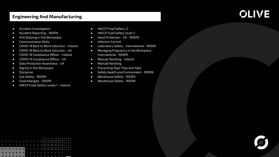### **Engineering And Manufacturing**

- Accident Investigation
- Accident Reporting ROSPA
- Anti Bullying in the Workplace
- Communication Skills
- COVID-19 Back to Work Induction Ireland
- COVID-19 Back to Work Induction UK
- COVID-19 Compliance Officer Ireland
- COVID-19 Compliance Officer UK
- Data Protection Awareness UK
- Dignity in the Workplace
- Discipline
- Eye Safety ROSPA
- Food Allergies ROSPA
- HACCP Food Safety Levels 1 Ireland
- HACCP Food Safety L2
- HACCP Food Safety Level 3
- Hand Protection UK ROSPA
- Infection Control
- Laboratory Safety International ROSPA
- Managing Pregnancy in the Workplace International - ROSPA
- Manual Handling Ireland
- Manual Handling
- Preventing Slips Trips and Falls
- Safety Health and Environment ROSPA
- Warehouse Safety ROSPA
- Warehouse Safety ROSPA

|  |          |  |  |               |  |  |  |  | . |  |  |  |  |  |
|--|----------|--|--|---------------|--|--|--|--|---|--|--|--|--|--|
|  |          |  |  |               |  |  |  |  |   |  |  |  |  |  |
|  |          |  |  |               |  |  |  |  |   |  |  |  |  |  |
|  |          |  |  |               |  |  |  |  | . |  |  |  |  |  |
|  |          |  |  |               |  |  |  |  |   |  |  |  |  |  |
|  |          |  |  |               |  |  |  |  | . |  |  |  |  |  |
|  |          |  |  |               |  |  |  |  |   |  |  |  |  |  |
|  |          |  |  |               |  |  |  |  |   |  |  |  |  |  |
|  |          |  |  | .             |  |  |  |  |   |  |  |  |  |  |
|  |          |  |  |               |  |  |  |  |   |  |  |  |  |  |
|  | -------- |  |  | _____________ |  |  |  |  |   |  |  |  |  |  |

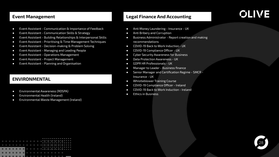#### **Event Management**

- Event Assistant Communication & Importance of Feedback
- Event Assistant Communication Skills & Strategy
- Event Assistant Building Relationships & Interpersonal Skills
- Event Assistant Prioritising & Time Management Techniques
- Event Assistant Decision-making & Problem Solving
- Event Assistant Managing and Leading People
- Event Assistant Operations Management
- Event Assistant Project Management
- Event Assistant Planning and Organisation

### **ENVIRONMENTAL**

- Environmental Awareness (ROSPA)
- $\bullet$  Environmental Health (Ireland)
- Environmental Waste Management (Ireland)

### **Legal Finance And Accounting**

- Anti Money Laundering Insurance UK
- Anti Bribery and Corruption
- Business Administrator Report creation and making recommendations
- COVID-19 Back to Work Induction UK
- COVID-19 Compliance Officer UK
- Cyber Security Awareness for Business
- Data Protection Awareness UK
- GDPR HR Professionals UK
- Manager to Leader Business finance
- Senior Manager and Certification Regime SMCR Insurance - UK
- Whistleblower Training Course
- COVID-19 Compliance Officer Ireland
- COVID-19 Back to Work Induction Ireland
- Ethics in Business

|  |          |  |  |  |  |   | . |  |  |  |  |  |
|--|----------|--|--|--|--|---|---|--|--|--|--|--|
|  |          |  |  |  |  |   |   |  |  |  |  |  |
|  |          |  |  |  |  |   |   |  |  |  |  |  |
|  |          |  |  |  |  |   | . |  |  |  |  |  |
|  |          |  |  |  |  |   | . |  |  |  |  |  |
|  |          |  |  |  |  |   |   |  |  |  |  |  |
|  |          |  |  |  |  |   |   |  |  |  |  |  |
|  |          |  |  |  |  | . |   |  |  |  |  |  |
|  |          |  |  |  |  |   |   |  |  |  |  |  |
|  | ________ |  |  |  |  |   |   |  |  |  |  |  |

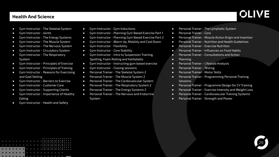### **Health And Science**

- Gym Instructor The Skeletal System
- Gym Instructor Joints
- Gym Instructor The Energy Systems
- Gym Instructor The Muscle System
- Gym Instructor The Nervous System
- Gym Instructor Circulatory System
- Gym Instructor The Respiratory System
- Gym Instructor Principles of Exercise
- Gym Instructor Principles of Training
- Gym Instructor Reasons for Exercising and Goal Setting
- Gym Instructor Barriers to Exercise
- Gym Instructor Customer Care
- Gym Instructor Supporting Clients
- Gym Instructor Importance of Healthy Eating
- Gym Instructor Health and Safety
- Gym Instructor Gym Inductions
- Gym Instructor Planning Gym Based Exercise Part 1
- Gym Instructor Planning Gym Based Exercise Part 2
- Gym Instructor Warm Up, Mobility and Cool Down
- Gym Instructor Flexibility
- Gym Instructor Core Stability
- Gym Instructor Intro to Suspension Training, Spotting, Foam Rolling and Kettlebells
- Gym Instructor Instructing gym based exercise
- Gym Instructor Closing sessions
- Personal Trainer The Skeletal System 2
- Personal Trainer The Muscle System 2
- Personal Trainer The Cardiovascular System
- Personal Trainer The Respiratory System 2
- Personal Trainer The Energy Systems 2
- Personal Trainer The Nervous and Endocrine System
- Personal Trainer The Lymphatic System
- Personal Trainer Core
- Personal Trainer Muscle Action Origin and Insertion
- Personal Trainer Nutrition and Health Guidelines
- Personal Trainer Exercise Nutrition
- Personal Trainer Influences on Food Habits
- Personal Trainer Consultations and Action
- Planning
- Personal Trainer Lifestyle Analysis
- Personal Trainer Testing
- Personal Trainer Motor Skills
- Personal Trainer Programming Personal Training **Sessions**
- Personal Trainer Programme Design for CV Training
- Personal Trainer Exercise Intensity and Weight Loss
- Personal Trainer Cardiovascular Training Systems
- Personal Trainer Strength and Power

. . . . . . . . . . .

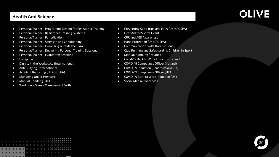### **Health And Science**

- Personal Trainer Programme Design for Resistance Training
- Personal Trainer Resistance Training Systems
- Personal Trainer Periodisation
- Personal Trainer Strength and Conditioning
- Personal Trainer Exercising outside the Gym
- Personal Trainer Delivering Personal Training Sessions
- Personal Trainer Evaluating Sessions
- Discipline
- Dignity in the Workplace (International)
- Anti Bullying (International)
- Accident Reporting (UK) (ROSPA)
- Managing Under Pressure
- Manual Handling (UK)
- Workplace Stress Management Skills
- Preventing Slips Trips and Falls (UK) (ROSPA)
- First Aid for Sports Event
- CPR and AED Awareness
- Hand Protection (UK) (ROSPA)
- Communication Skills (International)
- Club Running and Safeguarding Children in Sport
- Manual Handling (Ireland)
- Covid-19 Back to Work Induction Ireland
- COVID-19 Compliance Officer (Ireland)
- COVID-19 Induction (Construction) (UK)
- COVID-19 Compliance Officer (UK)
- COVID-19 Back to Work Induction (UK)
- Social Media Awareness

|  |  |  |  |  |   | . |  |  |  |  |  |
|--|--|--|--|--|---|---|--|--|--|--|--|
|  |  |  |  |  |   |   |  |  |  |  |  |
|  |  |  |  |  |   | . |  |  |  |  |  |
|  |  |  |  |  |   |   |  |  |  |  |  |
|  |  |  |  |  |   | . |  |  |  |  |  |
|  |  |  |  |  |   |   |  |  |  |  |  |
|  |  |  |  |  |   |   |  |  |  |  |  |
|  |  |  |  |  | . |   |  |  |  |  |  |

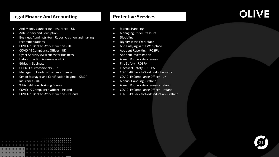### **Legal Finance And Accounting**

- Anti Money Laundering Insurance UK
- Anti Bribery and Corruption
- Business Administrator Report creation and making recommendations
- COVID-19 Back to Work Induction UK
- COVID-19 Compliance Officer UK
- Cyber Security Awareness for Business
- Data Protection Awareness UK
- Ethics in Business
- GDPR HR Professionals UK
- Manager to Leader Business finance
- Senior Manager and Certification Regime SMCR Insurance - UK
- Whistleblower Training Course
- COVID-19 Compliance Officer Ireland
- COVID-19 Back to Work Induction Ireland

### **Protective Services**

- Manual Handling
- Managing Under Pressure
- Discipline
- Dignity in the Workplace
- Anti Bullying in the Workplace
- Accident Reporting ROSPA
- Accident Investigation
- Armed Robbery Awareness
- Fire Safety ROSPA
- Electrical Safety ROSPA
- COVID-19 Back to Work Induction UK
- COVID-19 Compliance Officer UK
- Manual Handling Ireland
- Armed Robbery Awareness Ireland
- COVID-19 Compliance Officer Ireland
- COVID-19 Back to Work Induction Ireland

|  |  |  |   |  |  |  | . |  |  |  |  |  |
|--|--|--|---|--|--|--|---|--|--|--|--|--|
|  |  |  |   |  |  |  |   |  |  |  |  |  |
|  |  |  |   |  |  |  | . |  |  |  |  |  |
|  |  |  |   |  |  |  |   |  |  |  |  |  |
|  |  |  |   |  |  |  |   |  |  |  |  |  |
|  |  |  |   |  |  |  | . |  |  |  |  |  |
|  |  |  |   |  |  |  |   |  |  |  |  |  |
|  |  |  |   |  |  |  |   |  |  |  |  |  |
|  |  |  | . |  |  |  |   |  |  |  |  |  |

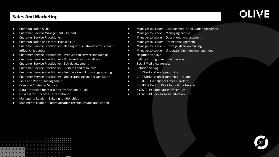### **Sales And Marketing**

- Communication Skills
- Customer Service Management Ireland
- Customer Service Practitioner -
- Communication and interpersonal skills
- Customer Service Practitioner Dealing with customer conflicts and influencing people
- Customer Service Practitioner Product and service knowledge
- Customer Service Practitioner Roles and responsibilities
- Customer Service Practitioner Self development
- Customer Service Practitioner Systems and resources
- Customer Service Practitioner Teamwork and knowledge sharing
- Customer Service Practitioner Understanding your organisation
- Time and Priority Management
- Essential Customer Service
- Data Protection for Marketing Professionals UK
- LinkedIn for Business International
- Manager to Leader Building relationships
- Manager to Leader Communication techniques and application
- Manager to Leader Leading people and leadership styles
- Manager to Leader Managing people
- Manager to Leader Operational management
- Manager to Leader Project management
- Manager to Leader Strategic decision making
- Manager to Leader Understanding time management
- Negotiation Skills
- Selling Through Customer Service
- Social Media Awareness
- Solution Selling
- VDU Workstation Ergonomics
- VDU Workstation Ergonomics Ireland
- COVID-19 Compliance Officer Ireland
- COVID-19 Back to Work Induction Ireland
- > COVID-19 Compliance Officer UK
- > COVID-19 Back to Work Induction UK

|  |  |  |   |  |  | . |  |  |  |  |  |
|--|--|--|---|--|--|---|--|--|--|--|--|
|  |  |  |   |  |  |   |  |  |  |  |  |
|  |  |  |   |  |  | . |  |  |  |  |  |
|  |  |  |   |  |  |   |  |  |  |  |  |
|  |  |  |   |  |  | . |  |  |  |  |  |
|  |  |  |   |  |  |   |  |  |  |  |  |
|  |  |  |   |  |  |   |  |  |  |  |  |
|  |  |  |   |  |  |   |  |  |  |  |  |
|  |  |  | . |  |  |   |  |  |  |  |  |

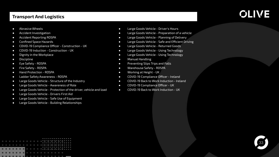### **Transport And Logistics**

- Abrasive Wheels
- Accident Investigation
- Accident Reporting ROSPA
- Confined Space Hazards
- COVID-19 Compliance Officer Construction UK
- COVID-19 Induction Construction UK
- Dignity in the Workplace
- Discipline
- Eye Safety ROSPA
- Fire Safety ROSPA
- Hand Protection ROSPA
- Ladder Safety Awareness ROSPA
- Large Goods Vehicle Structure of the Industry
- Large Goods Vehicle Awareness of Role
- Large Goods Vehicle Protection of the driver, vehicle and load
- Large Goods Vehicle Drivers First Aid
- Large Goods Vehicle Safe Use of Equipment
- Large Goods Vehicle Building Relationships
- Large Goods Vehicle Driver's Hours
- Large Goods Vehicle Preparation of a vehicle
- Large Goods Vehicle Planning of Delivery
- Large Goods Vehicle Safe and Efficient Driving
- Large Goods Vehicle Returned Goods
- Large Goods Vehicle Using Technology
- Large Goods Vehicle Using Technology
- Manual Handling
- Preventing Slips Trips and Falls
- Warehouse Safety ROSPA
- Working at Height UK
- COVID-19 Compliance Officer Ireland
- COVID-19 Back to Work Induction Ireland
- COVID-19 Compliance Officer UK
- COVID-19 Back to Work Induction UK

|  |  |  |                                                    |  |  | . |  |  |  |  |  |
|--|--|--|----------------------------------------------------|--|--|---|--|--|--|--|--|
|  |  |  | 이번 이번 이번 이번 이번 이번 이번 이번 이상을 하고 있다. 이 사람들은 어려워 주었다. |  |  |   |  |  |  |  |  |
|  |  |  |                                                    |  |  | . |  |  |  |  |  |
|  |  |  |                                                    |  |  |   |  |  |  |  |  |
|  |  |  |                                                    |  |  | . |  |  |  |  |  |
|  |  |  |                                                    |  |  |   |  |  |  |  |  |
|  |  |  |                                                    |  |  |   |  |  |  |  |  |
|  |  |  | .                                                  |  |  |   |  |  |  |  |  |
|  |  |  |                                                    |  |  |   |  |  |  |  |  |

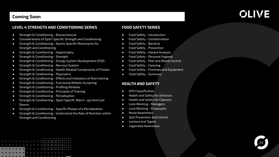### **Coming Soon**

### **OLIVE**

#### **LEVEL 4 STRENGTH AND CONDITIONING SERIES**

- Strength & Conditioning Biomechanical
- Considerations of Sport Specific Strength and Conditioning
- Strength & Conditioning Sports Specific Movements for Strength and Conditioning
- Strength & Conditioning Hypertrophy
- Strength & Conditioning Strength
- Strength & Conditioning Energy System Development (ESD)
- Strength & Conditioning Nervous System
- Strength & Conditioning Health Related Components of Fitness
- Strength & Conditioning Plyometric
- Strength & Conditioning Effects and Indicators of Overtraining
- Strength & Conditioning Functional Athletic Screening
- Strength & Conditioning Profiling Athletes
- Strength & Conditioning Principles of Training
- Strength & Conditioning Periodisation
- Strength & Conditioning Sport Specific Warm- ups And Cool **Downs**
- Strength & Conditioning Specific Phases of a Periodisation
- Strength & Conditioning Understand the Role of Nutrition within Strength and Conditioning

#### **FOOD SAFETY SERIES**

- Food Safety Introduction
- Food Safety Contamination
- Food Safety Bacteria
- Food Safety Prevention
- Food Safety Hazard Analysis
- Food Safety Personal Hygiene
- Food Safety Pest and Waste Control
- Food Safety Cleaning
- Food Safety Promises and Equipment
- Food Safety Summary

#### **HEALTH AND SAFETY**

- GHS Classification
- Health and Safety for Directors
- Health and Safety for Cleaners
- Lone Working Managers
- Lone Working Employees
- Noise Awareness
- Spill Prevention and Control
- Lockout and Tagout
- Legionella Awareness

|   |  |  |  |  |  |  | . |  |  |  |  |  |
|---|--|--|--|--|--|--|---|--|--|--|--|--|
|   |  |  |  |  |  |  |   |  |  |  |  |  |
|   |  |  |  |  |  |  | . |  |  |  |  |  |
|   |  |  |  |  |  |  |   |  |  |  |  |  |
|   |  |  |  |  |  |  | . |  |  |  |  |  |
|   |  |  |  |  |  |  |   |  |  |  |  |  |
|   |  |  |  |  |  |  |   |  |  |  |  |  |
| . |  |  |  |  |  |  |   |  |  |  |  |  |
|   |  |  |  |  |  |  |   |  |  |  |  |  |
|   |  |  |  |  |  |  |   |  |  |  |  |  |

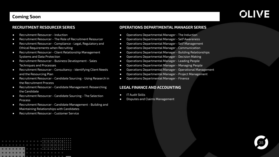### **Coming Soon**

## **OLIVE**

#### **RECRUITMENT RESOURCER SERIES**

- Recruitment Resourcer Induction
- Recruitment Resourcer The Role of Recruitment Resourcer
- Recruitment Resourcer Compliance Legal, Regulatory and Ethical Requirements when Recruiting
- Recruitment Resourcer Client Relationship Management Systems and Data Protection
- Recruitment Resourcer Business Development Sales Techniques and Processes
- Recruitment Resourcer Consultancy Identifying Client Needs and the Resourcing Plan
- Recruitment Resourcer Candidate Sourcing Using Research in the Recruitment Process
- Recruitment Resourcer Candidate Management: Researching the Candidate
- Recruitment Resourcer Candidate Sourcing The Selection Process
- Recruitment Resourcer Candidate Management Building and Maintaining Relationships with Candidates
- Recruitment Resourcer Customer Service

#### **OPERATIONS DEPARTMENTAL MANAGER SERIES**

- Operations Departmental Manager The Induction
- Operations Departmental Manager Self Awareness
- Operations Departmental Manager Self Management
- Operations Departmental Manager Communication
- Operations Departmental Manager Building Relationships
- Operations Departmental Manager Decision Making
- Operations Departmental Manager Leading People
- Operations Departmental Manager Managing People
- Operations Departmental Manager Operational Management
- Operations Departmental Manager Project Management
- Operations Departmental Manager Finance

#### **LEGAL FINANCE AND ACCOUNTING**

- IT Audit Skills
- **Disputes and Claims Management**

|  |  |  |                           |  |  |  | . |  |  |  |  |  |
|--|--|--|---------------------------|--|--|--|---|--|--|--|--|--|
|  |  |  |                           |  |  |  |   |  |  |  |  |  |
|  |  |  |                           |  |  |  | . |  |  |  |  |  |
|  |  |  |                           |  |  |  |   |  |  |  |  |  |
|  |  |  | _________________________ |  |  |  |   |  |  |  |  |  |
|  |  |  |                           |  |  |  |   |  |  |  |  |  |
|  |  |  |                           |  |  |  |   |  |  |  |  |  |
|  |  |  | .                         |  |  |  |   |  |  |  |  |  |
|  |  |  |                           |  |  |  |   |  |  |  |  |  |
|  |  |  |                           |  |  |  |   |  |  |  |  |  |

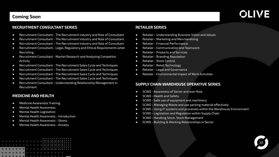### **Coming Soon**

### **OLIVE**

#### **RECRUITMENT CONSULTANT SERIES**

- Recruitment Consultant The Recruitment Industry and Role of Consultant
- Recruitment Consultant The Recruitment Industry and Role of Consultant
- Recruitment Consultant The Recruitment Industry and Role of Consultant
- Recruitment Consultant Legal, Regulatory and Ethical Requirements when **Recruiting**
- Recruitment Consultant Market Research and Analysing Competitor Activity
- Recruitment Consultant The Recruitment Sales Cycle and Techniques
- Recruitment Consultant The Recruitment Sales Cycle and Techniques
- Recruitment Consultant The Recruitment Sales Cycle and Techniques
- Recruitment Consultant The Recruitment Sales Cycle and Techniques
- Recruitment Consultant Understanding Relationship Management in Recruitment

### **MEDICINE AND HEALTH**

- Medicine Awareness Training
- Mental Health Awareness
- Mental Health Legislation
- Mental Health Awareness Introduction
- Mental Health Awareness Stress
- Mental Health Awareness Anxiety

|  |  |  |   |  |  |  | .<br>. |  |  |  |  |  |
|--|--|--|---|--|--|--|--------|--|--|--|--|--|
|  |  |  |   |  |  |  | .      |  |  |  |  |  |
|  |  |  | . |  |  |  |        |  |  |  |  |  |
|  |  |  |   |  |  |  |        |  |  |  |  |  |

#### **RETAILER SERIES**

- Retailer Understanding Business Vision and Values
- Retailer Marketing and Merchandising
- Retailer Financial Performance
- Retailer Communication and Teamwork
- Retailer Products and Services
- Retailer Branding Reputation
- Retailer Stock Control
- Retailer Retail Technology
- Retailer Legal and Governance
- Retailer Environmental Impact of Work Activities

#### **SUPPLY CHAIN WAREHOUSE OPERATIVE SERIES**

- SCWO Awareness of Sector and own Role
- SCWO Health and Safety
- SCWO Safe use of equipment and machinery
- SCWO Managing Waste and use packing material effectively
- SCWO Using IT systems and processes within the Warehouse Environment
- SCWO Legislation and Regulation within Supply Chain
- SCWO Handling Stock, Stock Management
- SCWO Building & Working Relationships in Sector